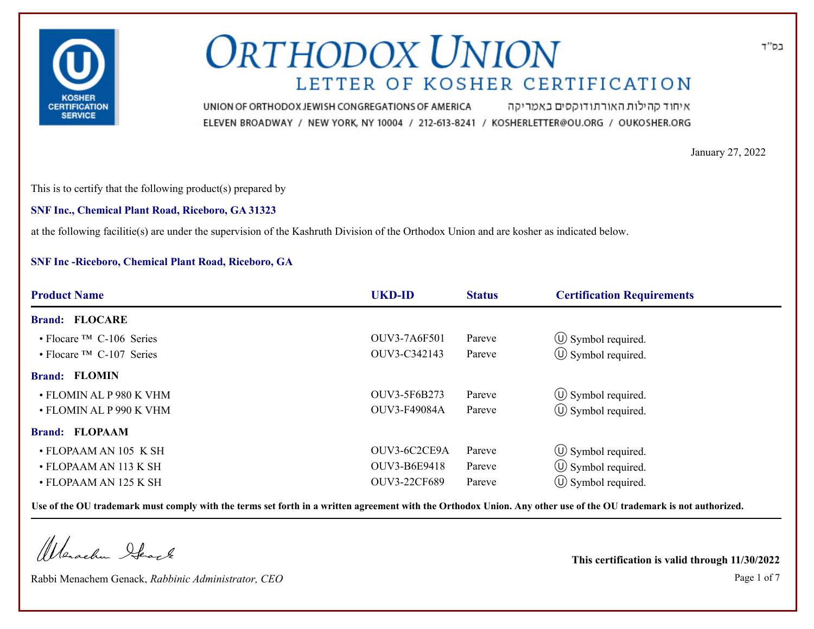

איחוד קהילות האורתודוקסים באמריקה UNION OF ORTHODOX JEWISH CONGREGATIONS OF AMERICA ELEVEN BROADWAY / NEW YORK, NY 10004 / 212-613-8241 / KOSHERLETTER@OU.ORG / OUKOSHER.ORG

January 27, 2022

This is to certify that the following product(s) prepared by

**SNF Inc., Chemical Plant Road, Riceboro, GA 31323**

at the following facilitie(s) are under the supervision of the Kashruth Division of the Orthodox Union and are kosher as indicated below.

### **SNF Inc -Riceboro, Chemical Plant Road, Riceboro, GA**

| <b>Product Name</b>                        | <b>UKD-ID</b>       | <b>Status</b> | <b>Certification Requirements</b> |  |
|--------------------------------------------|---------------------|---------------|-----------------------------------|--|
| <b>Brand: FLOCARE</b>                      |                     |               |                                   |  |
| $\cdot$ Flocare <sup>TM</sup> C-106 Series | OUV3-7A6F501        | Pareve        | $\circled{1}$ Symbol required.    |  |
| $\cdot$ Flocare <sup>TM</sup> C-107 Series | OUV3-C342143        | Pareve        | $\circled{1}$ Symbol required.    |  |
| <b>Brand: FLOMIN</b>                       |                     |               |                                   |  |
| • FLOMIN AL P 980 K VHM                    | OUV3-5F6B273        | Pareve        | $\circ$ Symbol required.          |  |
| • FLOMIN AL P 990 K VHM                    | OUV3-F49084A        | Pareve        | $\circled{1}$ Symbol required.    |  |
| <b>Brand: FLOPAAM</b>                      |                     |               |                                   |  |
| • FLOPAAM AN 105 K SH                      | OUV3-6C2CE9A        | Pareve        | $\circled{1}$ Symbol required.    |  |
| • FLOPAAM AN 113 K SH                      | OUV3-B6E9418        | Pareve        | $\circled{1}$ Symbol required.    |  |
| • FLOPAAM AN 125 K SH                      | <b>OUV3-22CF689</b> | Pareve        | $(\cup)$ Symbol required.         |  |

**Use of the OU trademark must comply with the terms set forth in a written agreement with the Orthodox Union. Any other use of the OU trademark is not authorized.**

Werschn Heart

Rabbi Menachem Genack, *Rabbinic Administrator, CEO* Page 1 of 7

**This certification is valid through 11/30/2022**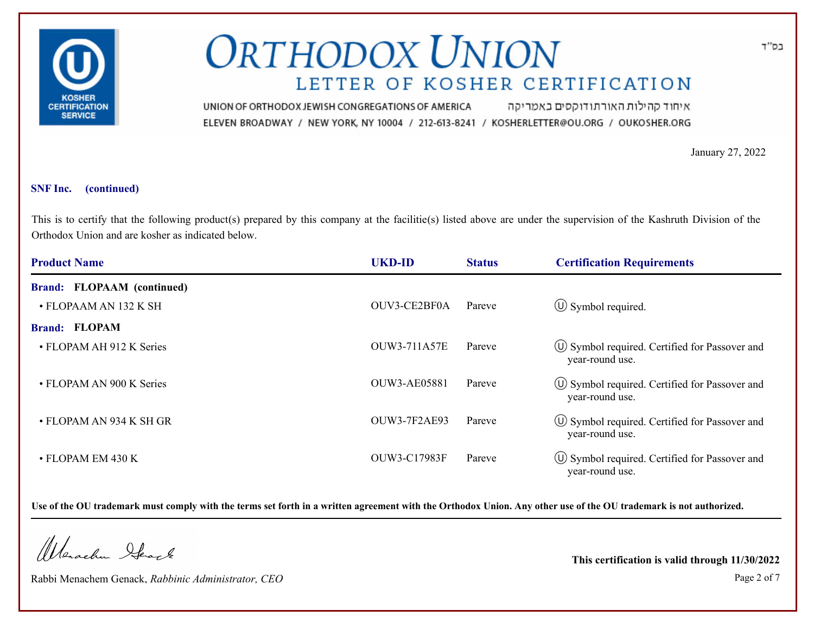

איחוד קהילות האורתודוקסים באמריקה UNION OF ORTHODOX JEWISH CONGREGATIONS OF AMERICA ELEVEN BROADWAY / NEW YORK, NY 10004 / 212-613-8241 / KOSHERLETTER@OU.ORG / OUKOSHER.ORG

January 27, 2022

#### **SNF Inc. (continued)**

This is to certify that the following product(s) prepared by this company at the facilitie(s) listed above are under the supervision of the Kashruth Division of the Orthodox Union and are kosher as indicated below.

| <b>Product Name</b>               | <b>UKD-ID</b>       | <b>Status</b> | <b>Certification Requirements</b>                                      |
|-----------------------------------|---------------------|---------------|------------------------------------------------------------------------|
| <b>Brand: FLOPAAM (continued)</b> |                     |               |                                                                        |
| • FLOPAAM AN 132 K SH             | OUV3-CE2BF0A        | Pareve        | $\circled{1}$ Symbol required.                                         |
| <b>Brand: FLOPAM</b>              |                     |               |                                                                        |
| • FLOPAM AH 912 K Series          | <b>OUW3-711A57E</b> | Pareve        | U Symbol required. Certified for Passover and<br>year-round use.       |
| • FLOPAM AN 900 K Series          | <b>OUW3-AE05881</b> | Pareve        | $\circ$ Symbol required. Certified for Passover and<br>year-round use. |
| • FLOPAM AN 934 K SH GR           | <b>OUW3-7F2AE93</b> | Pareve        | $\circ$ Symbol required. Certified for Passover and<br>year-round use. |
| • FLOPAM EM 430 K                 | OUW3-C17983F        | Pareve        | $\circ$ Symbol required. Certified for Passover and<br>year-round use. |

**Use of the OU trademark must comply with the terms set forth in a written agreement with the Orthodox Union. Any other use of the OU trademark is not authorized.**

Werachen Ifearle

Rabbi Menachem Genack, *Rabbinic Administrator, CEO* Page 2 of 7

**This certification is valid through 11/30/2022**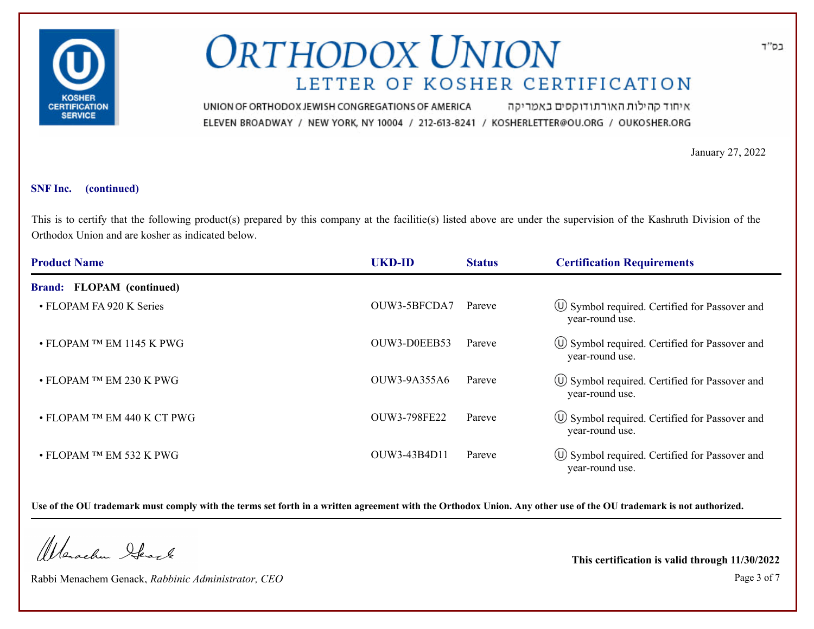

איחוד קהילות האורתודוקסים באמריקה UNION OF ORTHODOX JEWISH CONGREGATIONS OF AMERICA ELEVEN BROADWAY / NEW YORK, NY 10004 / 212-613-8241 / KOSHERLETTER@OU.ORG / OUKOSHER.ORG

January 27, 2022

#### **SNF Inc. (continued)**

This is to certify that the following product(s) prepared by this company at the facilitie(s) listed above are under the supervision of the Kashruth Division of the Orthodox Union and are kosher as indicated below.

| <b>Product Name</b>               | <b>UKD-ID</b> | <b>Status</b> | <b>Certification Requirements</b>                                       |
|-----------------------------------|---------------|---------------|-------------------------------------------------------------------------|
| Brand: FLOPAM (continued)         |               |               |                                                                         |
| • FLOPAM FA 920 K Series          | OUW3-5BFCDA7  | Pareve        | $\circ$ Symbol required. Certified for Passover and<br>year-round use.  |
| $\bullet$ FLOPAM TM EM 1145 K PWG | OUW3-D0EEB53  | Pareve        | U Symbol required. Certified for Passover and<br>year-round use.        |
| • FLOPAM TM EM 230 K PWG          | OUW3-9A355A6  | Pareve        | U Symbol required. Certified for Passover and<br>year-round use.        |
| • FLOPAM TM EM 440 K CT PWG       | OUW3-798FE22  | Pareve        | U Symbol required. Certified for Passover and<br>year-round use.        |
| • FLOPAM TM EM 532 K PWG          | OUW3-43B4D11  | Pareve        | <b>W</b> Symbol required. Certified for Passover and<br>year-round use. |

**Use of the OU trademark must comply with the terms set forth in a written agreement with the Orthodox Union. Any other use of the OU trademark is not authorized.**

Werachen Ifearle

Rabbi Menachem Genack, *Rabbinic Administrator, CEO* Page 3 of 7

**This certification is valid through 11/30/2022**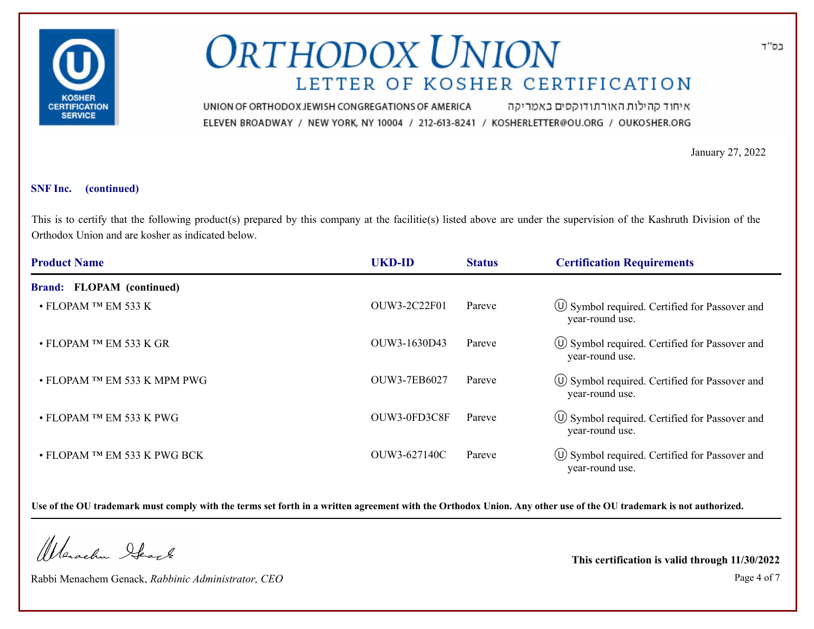

איחוד קהילות האורתודוקסים באמריקה UNION OF ORTHODOX JEWISH CONGREGATIONS OF AMERICA ELEVEN BROADWAY / NEW YORK, NY 10004 / 212-613-8241 / KOSHERLETTER@OU.ORG / OUKOSHER.ORG

January 27, 2022

#### **SNF Inc. (continued)**

This is to certify that the following product(s) prepared by this company at the facilitie(s) listed above are under the supervision of the Kashruth Division of the Orthodox Union and are kosher as indicated below.

| <b>Product Name</b>          | <b>UKD-ID</b> | <b>Status</b> | <b>Certification Requirements</b>                                      |
|------------------------------|---------------|---------------|------------------------------------------------------------------------|
| Brand: FLOPAM (continued)    |               |               |                                                                        |
| $\cdot$ FLOPAM TM EM 533 K   | OUW3-2C22F01  | Pareve        | U Symbol required. Certified for Passover and<br>year-round use.       |
| • FLOPAM TM EM 533 K GR      | OUW3-1630D43  | Pareve        | $\circ$ Symbol required. Certified for Passover and<br>year-round use. |
| • FLOPAM TM EM 533 K MPM PWG | OUW3-7EB6027  | Pareve        | U Symbol required. Certified for Passover and<br>year-round use.       |
| • FLOPAM TM EM 533 K PWG     | OUW3-0FD3C8F  | Pareve        | $\circ$ Symbol required. Certified for Passover and<br>year-round use. |
| • FLOPAM TM EM 533 K PWG BCK | OUW3-627140C  | Pareve        | U Symbol required. Certified for Passover and<br>year-round use.       |

**Use of the OU trademark must comply with the terms set forth in a written agreement with the Orthodox Union. Any other use of the OU trademark is not authorized.**

Werachen Ifearle

Rabbi Menachem Genack, *Rabbinic Administrator, CEO* Page 4 of 7

**This certification is valid through 11/30/2022**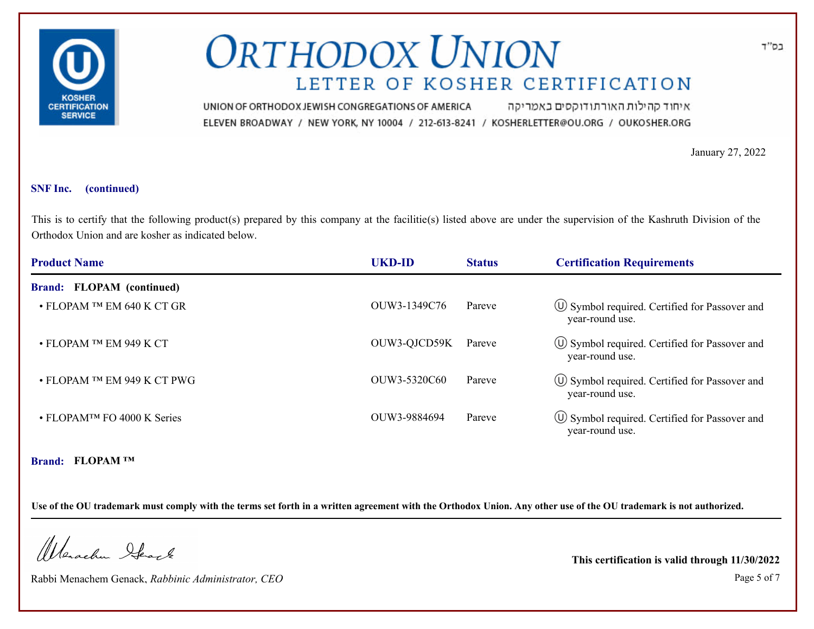

איחוד קהילות האורתודוקסים באמריקה UNION OF ORTHODOX JEWISH CONGREGATIONS OF AMERICA ELEVEN BROADWAY / NEW YORK, NY 10004 / 212-613-8241 / KOSHERLETTER@OU.ORG / OUKOSHER.ORG

January 27, 2022

#### **SNF Inc. (continued)**

This is to certify that the following product(s) prepared by this company at the facilitie(s) listed above are under the supervision of the Kashruth Division of the Orthodox Union and are kosher as indicated below.

| <b>Product Name</b>                     | <b>UKD-ID</b> | <b>Status</b> | <b>Certification Requirements</b>                                      |
|-----------------------------------------|---------------|---------------|------------------------------------------------------------------------|
| <b>Brand: FLOPAM (continued)</b>        |               |               |                                                                        |
| • FLOPAM ™ EM 640 K CT GR               | OUW3-1349C76  | Pareve        | $\circ$ Symbol required. Certified for Passover and<br>year-round use. |
| • FLOPAM TM EM 949 K CT                 | OUW3-QJCD59K  | Pareve        | $\circ$ Symbol required. Certified for Passover and<br>year-round use. |
| • FLOPAM TM EM 949 K CT PWG             | OUW3-5320C60  | Pareve        | $\circ$ Symbol required. Certified for Passover and<br>year-round use. |
| • FLOPAM <sup>TM</sup> FO 4000 K Series | OUW3-9884694  | Pareve        | (U) Symbol required. Certified for Passover and<br>year-round use.     |
|                                         |               |               |                                                                        |

**Brand: FLOPAM ™**

**Use of the OU trademark must comply with the terms set forth in a written agreement with the Orthodox Union. Any other use of the OU trademark is not authorized.**

Werachen Stack

Rabbi Menachem Genack, *Rabbinic Administrator, CEO* Page 5 of 7

**This certification is valid through 11/30/2022**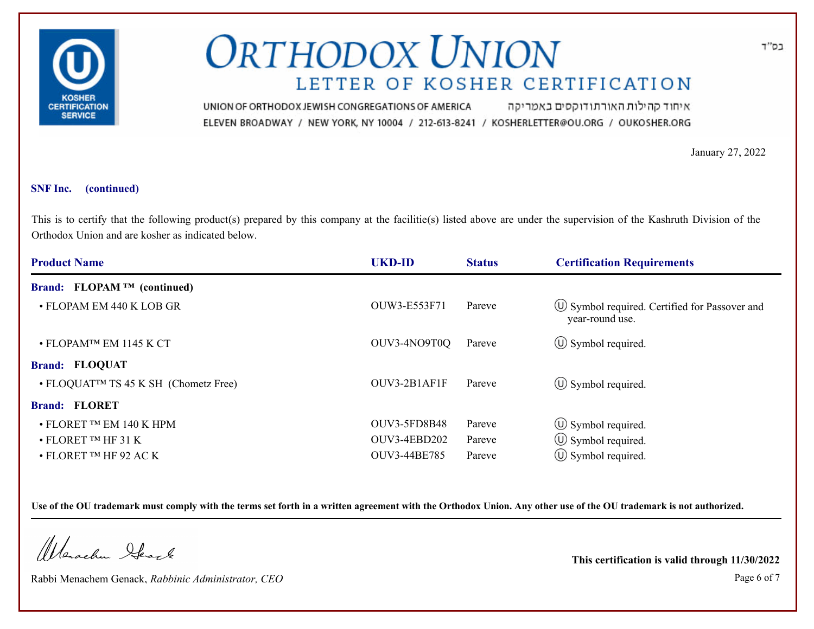

איחוד קהילות האורתודוקסים באמריקה UNION OF ORTHODOX JEWISH CONGREGATIONS OF AMERICA ELEVEN BROADWAY / NEW YORK, NY 10004 / 212-613-8241 / KOSHERLETTER@OU.ORG / OUKOSHER.ORG

January 27, 2022

#### **SNF Inc. (continued)**

This is to certify that the following product(s) prepared by this company at the facilitie(s) listed above are under the supervision of the Kashruth Division of the Orthodox Union and are kosher as indicated below.

| <b>Product Name</b>                               | <b>UKD-ID</b>       | <b>Status</b> | <b>Certification Requirements</b>                                      |
|---------------------------------------------------|---------------------|---------------|------------------------------------------------------------------------|
| Brand: FLOPAM <sup>TM</sup> (continued)           |                     |               |                                                                        |
| • FLOPAM EM 440 K LOB GR                          | OUW3-E553F71        | Pareve        | $\circ$ Symbol required. Certified for Passover and<br>year-round use. |
| • FLOPAMTM EM 1145 K CT                           | OUV3-4NO9T0Q        | Pareve        | $\circ$ Symbol required.                                               |
| <b>Brand: FLOQUAT</b>                             |                     |               |                                                                        |
| • FLOQUAT <sup>TM</sup> TS 45 K SH (Chometz Free) | OUV3-2B1AF1F        | Pareve        | $\circled{1}$ Symbol required.                                         |
| <b>Brand: FLORET</b>                              |                     |               |                                                                        |
| $\bullet$ FLORET TM EM 140 K HPM                  | <b>OUV3-5FD8B48</b> | Pareve        | $\circled{1}$ Symbol required.                                         |
| $\bullet$ FLORET <sup>TM</sup> HF 31 K            | OUV3-4EBD202        | Pareve        | $\circ$ Symbol required.                                               |
| $\bullet$ FLORET TM HF 92 AC K                    | OUV3-44BE785        | Pareve        | $\circ$ Symbol required.                                               |

**Use of the OU trademark must comply with the terms set forth in a written agreement with the Orthodox Union. Any other use of the OU trademark is not authorized.**

Werachen Ifearle

Rabbi Menachem Genack, *Rabbinic Administrator, CEO* Page 6 of 7

**This certification is valid through 11/30/2022**